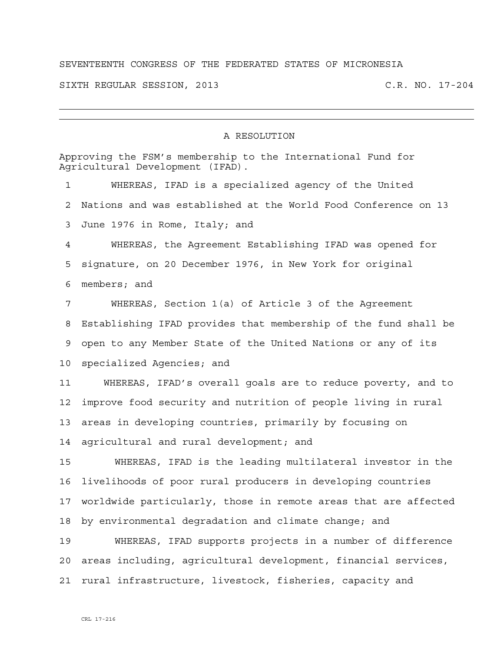## SEVENTEENTH CONGRESS OF THE FEDERATED STATES OF MICRONESIA

SIXTH REGULAR SESSION, 2013 C.R. NO. 17-204

## A RESOLUTION

Approving the FSM's membership to the International Fund for Agricultural Development (IFAD). 1 WHEREAS, IFAD is a specialized agency of the United 2 Nations and was established at the World Food Conference on 13 3 June 1976 in Rome, Italy; and 4 WHEREAS, the Agreement Establishing IFAD was opened for 5 signature, on 20 December 1976, in New York for original 6 members; and 7 WHEREAS, Section 1(a) of Article 3 of the Agreement 8 Establishing IFAD provides that membership of the fund shall be 9 open to any Member State of the United Nations or any of its 10 specialized Agencies; and 11 WHEREAS, IFAD's overall goals are to reduce poverty, and to 12 improve food security and nutrition of people living in rural 13 areas in developing countries, primarily by focusing on 14 agricultural and rural development; and 15 WHEREAS, IFAD is the leading multilateral investor in the 16 livelihoods of poor rural producers in developing countries 17 worldwide particularly, those in remote areas that are affected 18 by environmental degradation and climate change; and 19 WHEREAS, IFAD supports projects in a number of difference 20 areas including, agricultural development, financial services, 21 rural infrastructure, livestock, fisheries, capacity and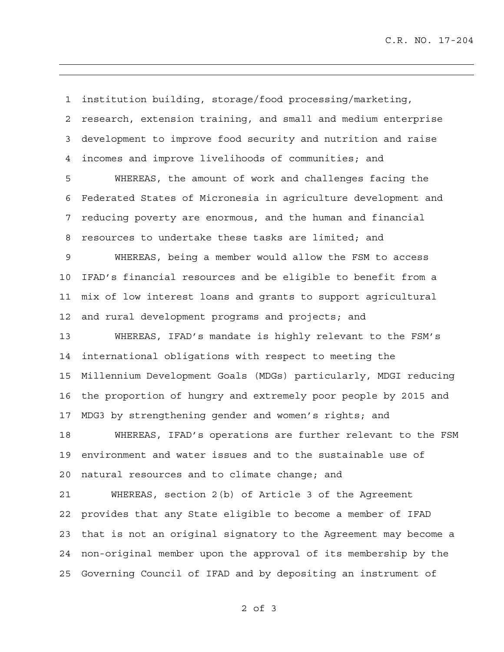C.R. NO. 17-204

1 institution building, storage/food processing/marketing, 2 research, extension training, and small and medium enterprise 3 development to improve food security and nutrition and raise 4 incomes and improve livelihoods of communities; and 5 WHEREAS, the amount of work and challenges facing the 6 Federated States of Micronesia in agriculture development and 7 reducing poverty are enormous, and the human and financial 8 resources to undertake these tasks are limited; and 9 WHEREAS, being a member would allow the FSM to access 10 IFAD's financial resources and be eligible to benefit from a 11 mix of low interest loans and grants to support agricultural 12 and rural development programs and projects; and 13 WHEREAS, IFAD's mandate is highly relevant to the FSM's 14 international obligations with respect to meeting the 15 Millennium Development Goals (MDGs) particularly, MDGI reducing 16 the proportion of hungry and extremely poor people by 2015 and 17 MDG3 by strengthening gender and women's rights; and 18 WHEREAS, IFAD's operations are further relevant to the FSM 19 environment and water issues and to the sustainable use of 20 natural resources and to climate change; and 21 WHEREAS, section 2(b) of Article 3 of the Agreement 22 provides that any State eligible to become a member of IFAD 23 that is not an original signatory to the Agreement may become a 24 non-original member upon the approval of its membership by the 25 Governing Council of IFAD and by depositing an instrument of

2 of 3